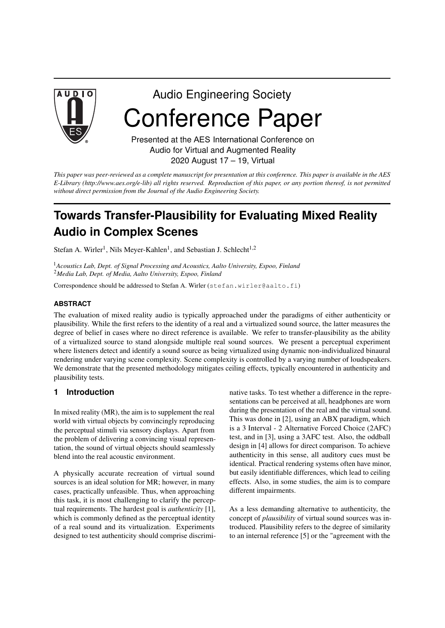

# Audio Engineering Society Conference Paper

Presented at the AES International Conference on Audio for Virtual and Augmented Reality 2020 August 17 – 19, Virtual

This paper was peer-reviewed as a complete manuscript for presentation at this conference. This paper is available in the AES E-Library (http://www.aes.org/e-lib) all rights reserved. Reproduction of this paper, or any portion thereof, is not permitted *without direct permission from the Journal of the Audio Engineering Society.*

## **Towards Transfer-Plausibility for Evaluating Mixed Reality Audio in Complex Scenes**

Stefan A. Wirler<sup>1</sup>, Nils Meyer-Kahlen<sup>1</sup>, and Sebastian J. Schlecht<sup>1,2</sup>

<sup>1</sup>*Acoustics Lab, Dept. of Signal Processing and Acoustics, Aalto University, Espoo, Finland* <sup>2</sup>*Media Lab, Dept. of Media, Aalto University, Espoo, Finland*

Correspondence should be addressed to Stefan A. Wirler (stefan.wirler@aalto.fi)

#### **ABSTRACT**

The evaluation of mixed reality audio is typically approached under the paradigms of either authenticity or plausibility. While the first refers to the identity of a real and a virtualized sound source, the latter measures the degree of belief in cases where no direct reference is available. We refer to transfer-plausibility as the ability of a virtualized source to stand alongside multiple real sound sources. We present a perceptual experiment where listeners detect and identify a sound source as being virtualized using dynamic non-individualized binaural rendering under varying scene complexity. Scene complexity is controlled by a varying number of loudspeakers. We demonstrate that the presented methodology mitigates ceiling effects, typically encountered in authenticity and plausibility tests.

#### **1 Introduction**

In mixed reality (MR), the aim is to supplement the real world with virtual objects by convincingly reproducing the perceptual stimuli via sensory displays. Apart from the problem of delivering a convincing visual representation, the sound of virtual objects should seamlessly blend into the real acoustic environment.

A physically accurate recreation of virtual sound sources is an ideal solution for MR; however, in many cases, practically unfeasible. Thus, when approaching this task, it is most challenging to clarify the perceptual requirements. The hardest goal is *authenticity* [1], which is commonly defined as the perceptual identity of a real sound and its virtualization. Experiments designed to test authenticity should comprise discriminative tasks. To test whether a difference in the representations can be perceived at all, headphones are worn during the presentation of the real and the virtual sound. This was done in [2], using an ABX paradigm, which is a 3 Interval - 2 Alternative Forced Choice (2AFC) test, and in [3], using a 3AFC test. Also, the oddball design in [4] allows for direct comparison. To achieve authenticity in this sense, all auditory cues must be identical. Practical rendering systems often have minor, but easily identifiable differences, which lead to ceiling effects. Also, in some studies, the aim is to compare different impairments.

As a less demanding alternative to authenticity, the concept of *plausibility* of virtual sound sources was introduced. Plausibility refers to the degree of similarity to an internal reference [5] or the "agreement with the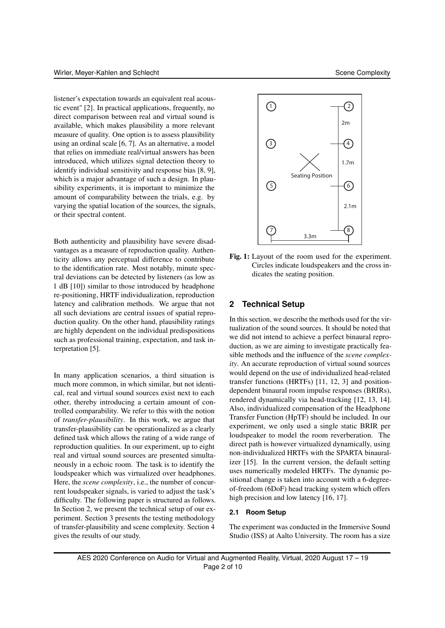listener's expectation towards an equivalent real acoustic event" [2]. In practical applications, frequently, no direct comparison between real and virtual sound is available, which makes plausibility a more relevant measure of quality. One option is to assess plausibility using an ordinal scale [6, 7]. As an alternative, a model that relies on immediate real/virtual answers has been introduced, which utilizes signal detection theory to identify individual sensitivity and response bias [8, 9], which is a major advantage of such a design. In plausibility experiments, it is important to minimize the amount of comparability between the trials, e.g. by varying the spatial location of the sources, the signals, or their spectral content.

Both authenticity and plausibility have severe disadvantages as a measure of reproduction quality. Authenticity allows any perceptual difference to contribute to the identification rate. Most notably, minute spectral deviations can be detected by listeners (as low as 1 dB [10]) similar to those introduced by headphone re-positioning, HRTF individualization, reproduction latency and calibration methods. We argue that not all such deviations are central issues of spatial reproduction quality. On the other hand, plausibility ratings are highly dependent on the individual predispositions such as professional training, expectation, and task interpretation [5].

In many application scenarios, a third situation is much more common, in which similar, but not identical, real and virtual sound sources exist next to each other, thereby introducing a certain amount of controlled comparability. We refer to this with the notion of *transfer-plausibility*. In this work, we argue that transfer-plausibility can be operationalized as a clearly defined task which allows the rating of a wide range of reproduction qualities. In our experiment, up to eight real and virtual sound sources are presented simultaneously in a echoic room. The task is to identify the loudspeaker which was virtualized over headphones. Here, the *scene complexity*, i.e., the number of concurrent loudspeaker signals, is varied to adjust the task's difficulty. The following paper is structured as follows. In Section 2, we present the technical setup of our experiment. Section 3 presents the testing methodology of transfer-plausibility and scene complexity. Section 4 gives the results of our study.



Fig. 1: Layout of the room used for the experiment. Circles indicate loudspeakers and the cross indicates the seating position.

#### **2 Technical Setup**

In this section, we describe the methods used for the virtualization of the sound sources. It should be noted that we did not intend to achieve a perfect binaural reproduction, as we are aiming to investigate practically feasible methods and the influence of the *scene complexity*. An accurate reproduction of virtual sound sources would depend on the use of individualized head-related transfer functions (HRTFs) [11, 12, 3] and positiondependent binaural room impulse responses (BRIRs), rendered dynamically via head-tracking [12, 13, 14]. Also, individualized compensation of the Headphone Transfer Function (HpTF) should be included. In our experiment, we only used a single static BRIR per loudspeaker to model the room reverberation. The direct path is however virtualized dynamically, using non-individualized HRTFs with the SPARTA binauralizer [15]. In the current version, the default setting uses numerically modeled HRTFs. The dynamic positional change is taken into account with a 6-degreeof-freedom (6DoF) head tracking system which offers high precision and low latency [16, 17].

#### **2.1 Room Setup**

The experiment was conducted in the Immersive Sound Studio (ISS) at Aalto University. The room has a size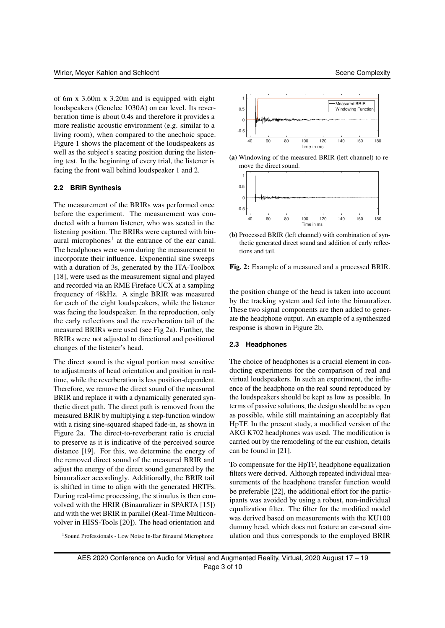of 6m x 3.60m x 3.20m and is equipped with eight loudspeakers (Genelec 1030A) on ear level. Its reverberation time is about 0.4s and therefore it provides a more realistic acoustic environment (e.g. similar to a living room), when compared to the anechoic space. Figure 1 shows the placement of the loudspeakers as well as the subject's seating position during the listening test. In the beginning of every trial, the listener is facing the front wall behind loudspeaker 1 and 2.

#### **2.2 BRIR Synthesis**

The measurement of the BRIRs was performed once before the experiment. The measurement was conducted with a human listener, who was seated in the listening position. The BRIRs were captured with binaural microphones<sup>1</sup> at the entrance of the ear canal. The headphones were worn during the measurement to incorporate their influence. Exponential sine sweeps with a duration of 3s, generated by the ITA-Toolbox [18], were used as the measurement signal and played and recorded via an RME Fireface UCX at a sampling frequency of 48kHz. A single BRIR was measured for each of the eight loudspeakers, while the listener was facing the loudspeaker. In the reproduction, only the early reflections and the reverberation tail of the measured BRIRs were used (see Fig 2a). Further, the BRIRs were not adjusted to directional and positional changes of the listener's head.

The direct sound is the signal portion most sensitive to adjustments of head orientation and position in realtime, while the reverberation is less position-dependent. Therefore, we remove the direct sound of the measured BRIR and replace it with a dynamically generated synthetic direct path. The direct path is removed from the measured BRIR by multiplying a step-function window with a rising sine-squared shaped fade-in, as shown in Figure 2a. The direct-to-reverberant ratio is crucial to preserve as it is indicative of the perceived source distance [19]. For this, we determine the energy of the removed direct sound of the measured BRIR and adjust the energy of the direct sound generated by the binauralizer accordingly. Additionally, the BRIR tail is shifted in time to align with the generated HRTFs. During real-time processing, the stimulus is then convolved with the HRIR (Binauralizer in SPARTA [15]) and with the wet BRIR in parallel (Real-Time Multiconvolver in HISS-Tools [20]). The head orientation and



(a) Windowing of the measured BRIR (left channel) to remove the direct sound.



(b) Processed BRIR (left channel) with combination of synthetic generated direct sound and addition of early reflections and tail.

Fig. 2: Example of a measured and a processed BRIR.

the position change of the head is taken into account by the tracking system and fed into the binauralizer. These two signal components are then added to generate the headphone output. An example of a synthesized response is shown in Figure 2b.

#### **2.3 Headphones**

The choice of headphones is a crucial element in conducting experiments for the comparison of real and virtual loudspeakers. In such an experiment, the influence of the headphone on the real sound reproduced by the loudspeakers should be kept as low as possible. In terms of passive solutions, the design should be as open as possible, while still maintaining an acceptably flat HpTF. In the present study, a modified version of the AKG K702 headphones was used. The modification is carried out by the remodeling of the ear cushion, details can be found in [21].

To compensate for the HpTF, headphone equalization filters were derived. Although repeated individual measurements of the headphone transfer function would be preferable [22], the additional effort for the participants was avoided by using a robust, non-individual equalization filter. The filter for the modified model was derived based on measurements with the KU100 dummy head, which does not feature an ear-canal simulation and thus corresponds to the employed BRIR

<sup>1</sup> Sound Professionals - Low Noise In-Ear Binaural Microphone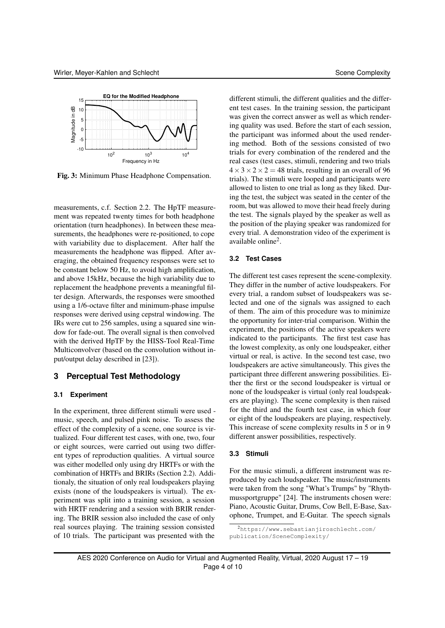

Fig. 3: Minimum Phase Headphone Compensation.

measurements, c.f. Section 2.2. The HpTF measurement was repeated twenty times for both headphone orientation (turn headphones). In between these measurements, the headphones were re-positioned, to cope with variability due to displacement. After half the measurements the headphone was flipped. After averaging, the obtained frequency responses were set to be constant below 50 Hz, to avoid high amplification, and above 15kHz, because the high variability due to replacement the headphone prevents a meaningful filter design. Afterwards, the responses were smoothed using a 1/6-octave filter and minimum-phase impulse responses were derived using cepstral windowing. The IRs were cut to 256 samples, using a squared sine window for fade-out. The overall signal is then convolved with the derived HpTF by the HISS-Tool Real-Time Multiconvolver (based on the convolution without input/output delay described in [23]).

#### **3 Perceptual Test Methodology**

#### **3.1 Experiment**

In the experiment, three different stimuli were used music, speech, and pulsed pink noise. To assess the effect of the complexity of a scene, one source is virtualized. Four different test cases, with one, two, four or eight sources, were carried out using two different types of reproduction qualities. A virtual source was either modelled only using dry HRTFs or with the combination of HRTFs and BRIRs (Section 2.2). Additionaly, the situation of only real loudspeakers playing exists (none of the loudspeakers is virtual). The experiment was split into a training session, a session with HRTF rendering and a session with BRIR rendering. The BRIR session also included the case of only real sources playing. The training session consisted of 10 trials. The participant was presented with the

different stimuli, the different qualities and the different test cases. In the training session, the participant was given the correct answer as well as which rendering quality was used. Before the start of each session, the participant was informed about the used rendering method. Both of the sessions consisted of two trials for every combination of the rendered and the real cases (test cases, stimuli, rendering and two trials  $4 \times 3 \times 2 \times 2 = 48$  trials, resulting in an overall of 96 trials). The stimuli were looped and participants were allowed to listen to one trial as long as they liked. During the test, the subject was seated in the center of the room, but was allowed to move their head freely during the test. The signals played by the speaker as well as the position of the playing speaker was randomized for every trial. A demonstration video of the experiment is available online<sup>2</sup> .

#### **3.2 Test Cases**

The different test cases represent the scene-complexity. They differ in the number of active loudspeakers. For every trial, a random subset of loudspeakers was selected and one of the signals was assigned to each of them. The aim of this procedure was to minimize the opportunity for inter-trial comparison. Within the experiment, the positions of the active speakers were indicated to the participants. The first test case has the lowest complexity, as only one loudspeaker, either virtual or real, is active. In the second test case, two loudspeakers are active simultaneously. This gives the participant three different answering possibilities. Either the first or the second loudspeaker is virtual or none of the loudspeaker is virtual (only real loudspeakers are playing). The scene complexity is then raised for the third and the fourth test case, in which four or eight of the loudspeakers are playing, respectively. This increase of scene complexity results in 5 or in 9 different answer possibilities, respectively.

#### **3.3 Stimuli**

For the music stimuli, a different instrument was reproduced by each loudspeaker. The music/instruments were taken from the song "What's Trumps" by "Rhythmussportgruppe" [24]. The instruments chosen were: Piano, Acoustic Guitar, Drums, Cow Bell, E-Base, Saxophone, Trumpet, and E-Guitar. The speech signals

<sup>2</sup>https://www.sebastianjiroschlecht.com/ publication/SceneComplexity/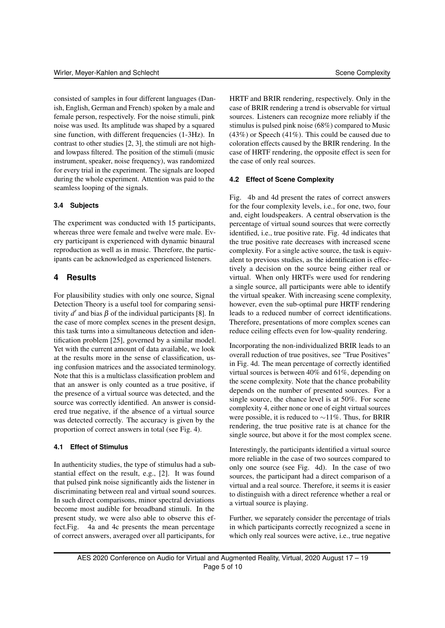consisted of samples in four different languages (Danish, English, German and French) spoken by a male and female person, respectively. For the noise stimuli, pink noise was used. Its amplitude was shaped by a squared sine function, with different frequencies (1-3Hz). In contrast to other studies [2, 3], the stimuli are not highand lowpass filtered. The position of the stimuli (music instrument, speaker, noise frequency), was randomized for every trial in the experiment. The signals are looped during the whole experiment. Attention was paid to the seamless looping of the signals.

#### **3.4 Subjects**

The experiment was conducted with 15 participants, whereas three were female and twelve were male. Every participant is experienced with dynamic binaural reproduction as well as in music. Therefore, the participants can be acknowledged as experienced listeners.

### **4 Results**

For plausibility studies with only one source, Signal Detection Theory is a useful tool for comparing sensitivity  $d'$  and bias  $\beta$  of the individual participants [8]. In the case of more complex scenes in the present design, this task turns into a simultaneous detection and identification problem [25], governed by a similar model. Yet with the current amount of data available, we look at the results more in the sense of classification, using confusion matrices and the associated terminology. Note that this is a multiclass classification problem and that an answer is only counted as a true positive, if the presence of a virtual source was detected, and the source was correctly identified. An answer is considered true negative, if the absence of a virtual source was detected correctly. The accuracy is given by the proportion of correct answers in total (see Fig. 4).

#### **4.1 Effect of Stimulus**

In authenticity studies, the type of stimulus had a substantial effect on the result, e.g., [2]. It was found that pulsed pink noise significantly aids the listener in discriminating between real and virtual sound sources. In such direct comparisons, minor spectral deviations become most audible for broadband stimuli. In the present study, we were also able to observe this effect.Fig. 4a and 4c presents the mean percentage of correct answers, averaged over all participants, for

HRTF and BRIR rendering, respectively. Only in the case of BRIR rendering a trend is observable for virtual sources. Listeners can recognize more reliably if the stimulus is pulsed pink noise (68%) compared to Music (43%) or Speech (41%). This could be caused due to coloration effects caused by the BRIR rendering. In the case of HRTF rendering, the opposite effect is seen for the case of only real sources.

#### **4.2 Effect of Scene Complexity**

Fig. 4b and 4d present the rates of correct answers for the four complexity levels, i.e., for one, two, four and, eight loudspeakers. A central observation is the percentage of virtual sound sources that were correctly identified, i.e., true positive rate. Fig. 4d indicates that the true positive rate decreases with increased scene complexity. For a single active source, the task is equivalent to previous studies, as the identification is effectively a decision on the source being either real or virtual. When only HRTFs were used for rendering a single source, all participants were able to identify the virtual speaker. With increasing scene complexity, however, even the sub-optimal pure HRTF rendering leads to a reduced number of correct identifications. Therefore, presentations of more complex scenes can reduce ceiling effects even for low-quality rendering.

Incorporating the non-individualized BRIR leads to an overall reduction of true positives, see "True Positives" in Fig. 4d. The mean percentage of correctly identified virtual sources is between 40% and 61%, depending on the scene complexity. Note that the chance probability depends on the number of presented sources. For a single source, the chance level is at 50%. For scene complexity 4, either none or one of eight virtual sources were possible, it is reduced to ∼11%. Thus, for BRIR rendering, the true positive rate is at chance for the single source, but above it for the most complex scene.

Interestingly, the participants identified a virtual source more reliable in the case of two sources compared to only one source (see Fig. 4d). In the case of two sources, the participant had a direct comparison of a virtual and a real source. Therefore, it seems it is easier to distinguish with a direct reference whether a real or a virtual source is playing.

Further, we separately consider the percentage of trials in which participants correctly recognized a scene in which only real sources were active, *i.e.*, true negative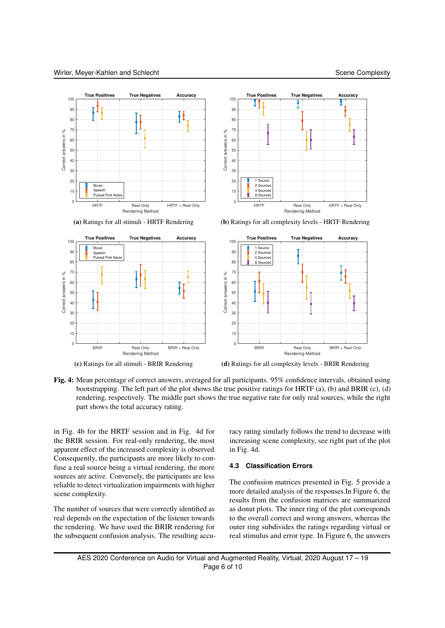

Fig. 4: Mean percentage of correct answers, averaged for all participants. 95% confidence intervals, obtained using bootstrapping. The left part of the plot shows the true positive ratings for HRTF (a), (b) and BRIR (c), (d) rendering, respectively. The middle part shows the true negative rate for only real sources, while the right part shows the total accuracy rating.

in Fig. 4b for the HRTF session and in Fig. 4d for the BRIR session. For real-only rendering, the most apparent effect of the increased complexity is observed. Consequently, the participants are more likely to confuse a real source being a virtual rendering, the more sources are active. Conversely, the participants are less reliable to detect virtualization impairments with higher scene complexity.

The number of sources that were correctly identified as real depends on the expectation of the listener towards the rendering. We have used the BRIR rendering for the subsequent confusion analysis. The resulting accuracy rating similarly follows the trend to decrease with increasing scene complexity, see right part of the plot in Fig. 4d.

#### **4.3 Classification Errors**

The confusion matrices presented in Fig. 5 provide a more detailed analysis of the responses.In Figure 6, the results from the confusion matrices are summarized as donut plots. The inner ring of the plot corresponds to the overall correct and wrong answers, whereas the outer ring subdivides the ratings regarding virtual or real stimulus and error type. In Figure 6, the answers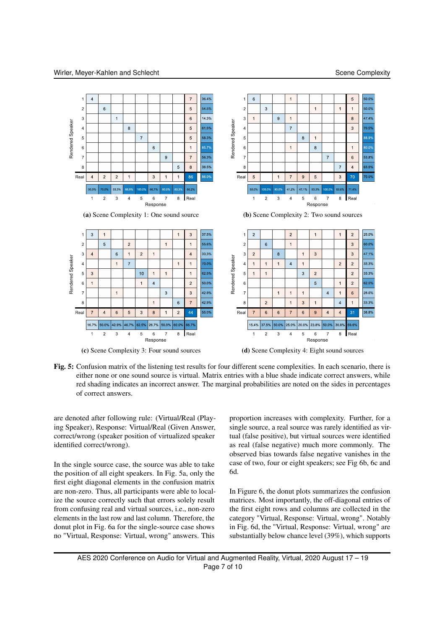

Fig. 5: Confusion matrix of the listening test results for four different scene complexities. In each scenario, there is either none or one sound source is virtual. Matrix entries with a blue shade indicate correct answers, while red shading indicates an incorrect answer. The marginal probabilities are noted on the sides in percentages of correct answers.

are denoted after following rule: (Virtual/Real (Playing Speaker), Response: Virtual/Real (Given Answer, correct/wrong (speaker position of virtualized speaker identified correct/wrong).

In the single source case, the source was able to take the position of all eight speakers. In Fig. 5a, only the first eight diagonal elements in the confusion matrix are non-zero. Thus, all participants were able to localize the source correctly such that errors solely result from confusing real and virtual sources, i.e., non-zero elements in the last row and last column. Therefore, the donut plot in Fig. 6a for the single-source case shows no "Virtual, Response: Virtual, wrong" answers. This

proportion increases with complexity. Further, for a single source, a real source was rarely identified as virtual (false positive), but virtual sources were identified as real (false negative) much more commonly. The observed bias towards false negative vanishes in the case of two, four or eight speakers; see Fig 6b, 6c and 6d.

In Figure 6, the donut plots summarizes the confusion matrices. Most importantly, the off-diagonal entries of the first eight rows and columns are collected in the category "Virtual, Response: Virtual, wrong". Notably in Fig. 6d, the "Virtual, Response: Virtual, wrong" are substantially below chance level (39%), which supports

AES 2020 Conference on Audio for Virtual and Augmented Reality, Virtual, 2020 August 17 – 19 Page 7 of 10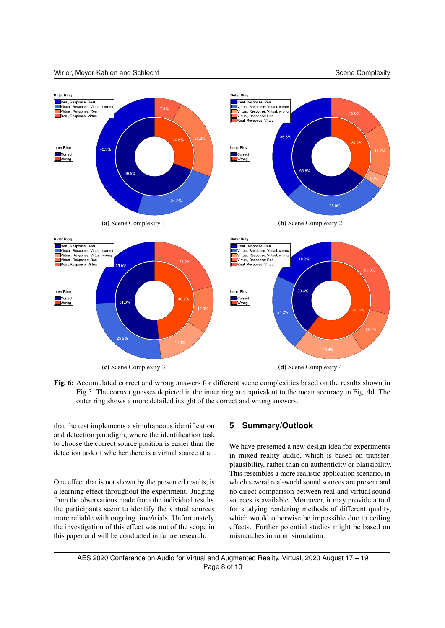#### Wirler, Meyer-Kahlen and Schlecht Schlecht Scene Complexity Scene Complexity



Fig. 6: Accumulated correct and wrong answers for different scene complexities based on the results shown in Fig 5. The correct guesses depicted in the inner ring are equivalent to the mean accuracy in Fig. 4d. The outer ring shows a more detailed insight of the correct and wrong answers.

that the test implements a simultaneous identification and detection paradigm, where the identification task to choose the correct source position is easier than the detection task of whether there is a virtual source at all.

One effect that is not shown by the presented results, is a learning effect throughout the experiment. Judging from the observations made from the individual results, the participants seem to identify the virtual sources more reliable with ongoing time/trials. Unfortunately, the investigation of this effect was out of the scope in this paper and will be conducted in future research.

#### **5 Summary/Outlook**

We have presented a new design idea for experiments in mixed reality audio, which is based on transferplausibility, rather than on authenticity or plausibility. This resembles a more realistic application scenario, in which several real-world sound sources are present and no direct comparison between real and virtual sound sources is available. Moreover, it may provide a tool for studying rendering methods of different quality, which would otherwise be impossible due to ceiling effects. Further potential studies might be based on mismatches in room simulation.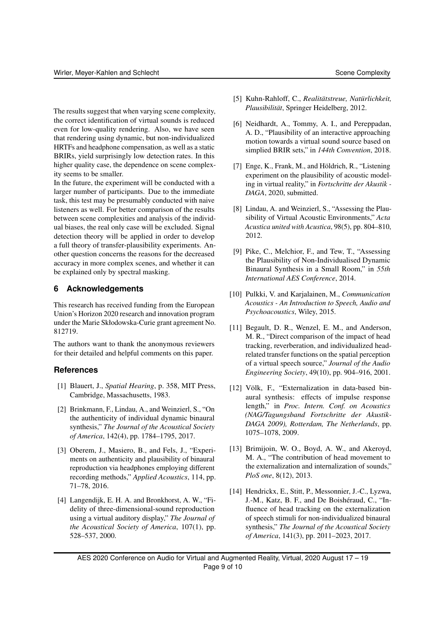The results suggest that when varying scene complexity, the correct identification of virtual sounds is reduced even for low-quality rendering. Also, we have seen that rendering using dynamic, but non-individualized HRTFs and headphone compensation, as well as a static BRIRs, yield surprisingly low detection rates. In this higher quality case, the dependence on scene complexity seems to be smaller.

In the future, the experiment will be conducted with a larger number of participants. Due to the immediate task, this test may be presumably conducted with naive listeners as well. For better comparison of the results between scene complexities and analysis of the individual biases, the real only case will be excluded. Signal detection theory will be applied in order to develop a full theory of transfer-plausibility experiments. Another question concerns the reasons for the decreased accuracy in more complex scenes, and whether it can be explained only by spectral masking.

#### **6 Acknowledgements**

This research has received funding from the European Union's Horizon 2020 research and innovation program under the Marie Skłodowska-Curie grant agreement No. 812719.

The authors want to thank the anonymous reviewers for their detailed and helpful comments on this paper.

#### **References**

- [1] Blauert, J., *Spatial Hearing*, p. 358, MIT Press, Cambridge, Massachusetts, 1983.
- [2] Brinkmann, F., Lindau, A., and Weinzierl, S., "On the authenticity of individual dynamic binaural synthesis," *The Journal of the Acoustical Society of America*, 142(4), pp. 1784–1795, 2017.
- [3] Oberem, J., Masiero, B., and Fels, J., "Experiments on authenticity and plausibility of binaural reproduction via headphones employing different recording methods," *Applied Acoustics*, 114, pp. 71–78, 2016.
- [4] Langendijk, E. H. A. and Bronkhorst, A. W., "Fidelity of three-dimensional-sound reproduction using a virtual auditory display," *The Journal of the Acoustical Society of America*, 107(1), pp. 528–537, 2000.
- [5] Kuhn-Rahloff, C., *Realitätstreue, Natürlichkeit, Plausibilität*, Springer Heidelberg, 2012.
- [6] Neidhardt, A., Tommy, A. I., and Pereppadan, A. D., "Plausibility of an interactive approaching motion towards a virtual sound source based on simplied BRIR sets," in *144th Convention*, 2018.
- [7] Enge, K., Frank, M., and Höldrich, R., "Listening experiment on the plausibility of acoustic modeling in virtual reality," in *Fortschritte der Akustik - DAGA*, 2020, submitted.
- [8] Lindau, A. and Weinzierl, S., "Assessing the Plausibility of Virtual Acoustic Environments," *Acta Acustica united with Acustica*, 98(5), pp. 804–810, 2012.
- [9] Pike, C., Melchior, F., and Tew, T., "Assessing the Plausibility of Non-Individualised Dynamic Binaural Synthesis in a Small Room," in *55th International AES Conference*, 2014.
- [10] Pulkki, V. and Karjalainen, M., *Communication Acoustics - An Introduction to Speech, Audio and Psychoacoustics*, Wiley, 2015.
- [11] Begault, D. R., Wenzel, E. M., and Anderson, M. R., "Direct comparison of the impact of head tracking, reverberation, and individualized headrelated transfer functions on the spatial perception of a virtual speech source," *Journal of the Audio Engineering Society*, 49(10), pp. 904–916, 2001.
- [12] Völk, F., "Externalization in data-based binaural synthesis: effects of impulse response length," in *Proc. Intern. Conf. on Acoustics (NAG/Tagungsband Fortschritte der Akustik-DAGA 2009), Rotterdam, The Netherlands*, pp. 1075–1078, 2009.
- [13] Brimijoin, W. O., Boyd, A. W., and Akeroyd, M. A., "The contribution of head movement to the externalization and internalization of sounds," *PloS one*, 8(12), 2013.
- [14] Hendrickx, E., Stitt, P., Messonnier, J.-C., Lyzwa, J.-M., Katz, B. F., and De Boishéraud, C., "Influence of head tracking on the externalization of speech stimuli for non-individualized binaural synthesis," *The Journal of the Acoustical Society of America*, 141(3), pp. 2011–2023, 2017.

AES 2020 Conference on Audio for Virtual and Augmented Reality, Virtual, 2020 August 17 – 19 Page 9 of 10